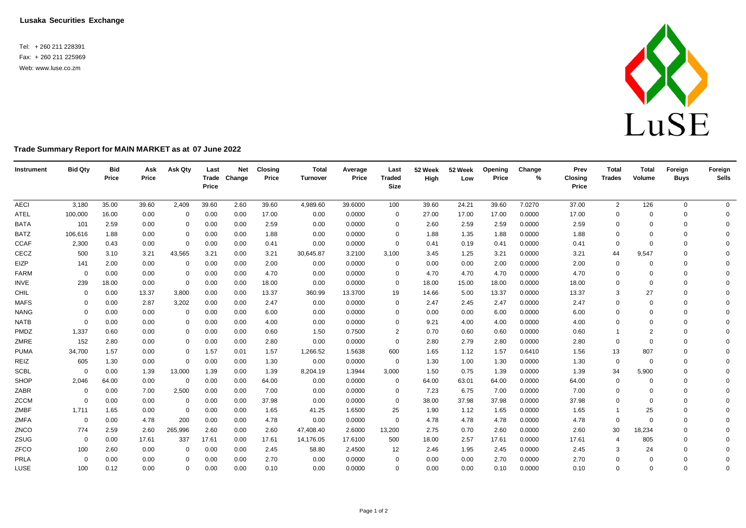**Lusaka Securities Exchange**

Tel: + 260 211 228391 Fax: + 260 211 225969 Web: [www.luse.co.zm](http://www.luse.co.zm/)



## **Trade Summary Report for MAIN MARKET as at 07 June 2022**

| Instrument  | <b>Bid Qty</b> | <b>Bid</b><br>Price | Ask<br>Price | Ask Qty     | Last<br>Price | <b>Net</b><br>Trade Change | <b>Closing</b><br>Price | <b>Total</b><br>Turnover | Average<br>Price | Last<br><b>Traded</b><br>Size | 52 Week<br>High | 52 Week<br>Low | Opening<br>Price | Change<br>$\%$ | Prev<br><b>Closing</b><br>Price | <b>Total</b><br><b>Trades</b> | <b>Total</b><br>Volume | Foreign<br><b>Buys</b> | Foreign<br><b>Sells</b> |
|-------------|----------------|---------------------|--------------|-------------|---------------|----------------------------|-------------------------|--------------------------|------------------|-------------------------------|-----------------|----------------|------------------|----------------|---------------------------------|-------------------------------|------------------------|------------------------|-------------------------|
| <b>AECI</b> | 3,180          | 35.00               | 39.60        | 2,409       | 39.60         | 2.60                       | 39.60                   | 4,989.60                 | 39.6000          | 100                           | 39.60           | 24.21          | 39.60            | 7.0270         | 37.00                           | $\overline{2}$                | 126                    | 0                      | $\overline{0}$          |
| ATEL        | 100,000        | 16.00               | 0.00         | $\mathbf 0$ | 0.00          | 0.00                       | 17.00                   | 0.00                     | 0.0000           | 0                             | 27.00           | 17.00          | 17.00            | 0.0000         | 17.00                           | 0                             | $\Omega$               | 0                      | 0                       |
| <b>BATA</b> | 101            | 2.59                | 0.00         | $\mathbf 0$ | 0.00          | 0.00                       | 2.59                    | 0.00                     | 0.0000           | 0                             | 2.60            | 2.59           | 2.59             | 0.0000         | 2.59                            | $\mathbf 0$                   | $\Omega$               | $\mathbf 0$            | $\mathbf{0}$            |
| <b>BATZ</b> | 106,616        | 1.88                | 0.00         | 0           | 0.00          | 0.00                       | 1.88                    | 0.00                     | 0.0000           | $\Omega$                      | 1.88            | 1.35           | 1.88             | 0.0000         | 1.88                            | $\mathbf 0$                   |                        | $\Omega$               | $\Omega$                |
| <b>CCAF</b> | 2,300          | 0.43                | 0.00         | $\mathbf 0$ | 0.00          | 0.00                       | 0.41                    | 0.00                     | 0.0000           | $\mathbf 0$                   | 0.41            | 0.19           | 0.41             | 0.0000         | 0.41                            | $\mathbf 0$                   | $\Omega$               | $\Omega$               | $\Omega$                |
| CECZ        | 500            | 3.10                | 3.21         | 43,565      | 3.21          | 0.00                       | 3.21                    | 30,645.87                | 3.2100           | 3,100                         | 3.45            | 1.25           | 3.21             | 0.0000         | 3.21                            | 44                            | 9,547                  | $\Omega$               | $\Omega$                |
| EIZP        | 141            | 2.00                | 0.00         | $\mathbf 0$ | 0.00          | 0.00                       | 2.00                    | 0.00                     | 0.0000           | 0                             | 0.00            | 0.00           | 2.00             | 0.0000         | 2.00                            | 0                             |                        | $\Omega$               | $\Omega$                |
| <b>FARM</b> | $\Omega$       | 0.00                | 0.00         | $\mathbf 0$ | 0.00          | 0.00                       | 4.70                    | 0.00                     | 0.0000           | 0                             | 4.70            | 4.70           | 4.70             | 0.0000         | 4.70                            | $\mathbf 0$                   | $\Omega$               | $\Omega$               | $\Omega$                |
| <b>INVE</b> | 239            | 18.00               | 0.00         | $\mathbf 0$ | 0.00          | 0.00                       | 18.00                   | 0.00                     | 0.0000           | 0                             | 18.00           | 15.00          | 18.00            | 0.0000         | 18.00                           | $\mathbf 0$                   | $\Omega$               | $\mathbf 0$            | $\Omega$                |
| CHIL        | $\Omega$       | 0.00                | 13.37        | 3,800       | 0.00          | 0.00                       | 13.37                   | 360.99                   | 13.3700          | 19                            | 14.66           | 5.00           | 13.37            | 0.0000         | 13.37                           | 3                             | 27                     | $\Omega$               | $\Omega$                |
| <b>MAFS</b> | $\Omega$       | 0.00                | 2.87         | 3,202       | 0.00          | 0.00                       | 2.47                    | 0.00                     | 0.0000           | 0                             | 2.47            | 2.45           | 2.47             | 0.0000         | 2.47                            | $\mathbf 0$                   | $\Omega$               | $\Omega$               | $\Omega$                |
| <b>NANG</b> | $\Omega$       | 0.00                | 0.00         | $\mathbf 0$ | 0.00          | 0.00                       | 6.00                    | 0.00                     | 0.0000           | $\Omega$                      | 0.00            | 0.00           | 6.00             | 0.0000         | 6.00                            | $\Omega$                      | $\Omega$               | $\Omega$               | $\Omega$                |
| <b>NATB</b> | $\Omega$       | 0.00                | 0.00         | $\mathbf 0$ | 0.00          | 0.00                       | 4.00                    | 0.00                     | 0.0000           | $\Omega$                      | 9.21            | 4.00           | 4.00             | 0.0000         | 4.00                            | $\Omega$                      | $\Omega$               | $\Omega$               | $\Omega$                |
| PMDZ        | 1,337          | 0.60                | 0.00         | $\mathbf 0$ | 0.00          | 0.00                       | 0.60                    | 1.50                     | 0.7500           | 2                             | 0.70            | 0.60           | 0.60             | 0.0000         | 0.60                            |                               | $\overline{2}$         | $\Omega$               | $\Omega$                |
| ZMRE        | 152            | 2.80                | 0.00         | $\mathbf 0$ | 0.00          | 0.00                       | 2.80                    | 0.00                     | 0.0000           | $\Omega$                      | 2.80            | 2.79           | 2.80             | 0.0000         | 2.80                            | $\mathbf 0$                   | $\Omega$               | $\Omega$               | $\Omega$                |
| <b>PUMA</b> | 34,700         | 1.57                | 0.00         | $\mathbf 0$ | 1.57          | 0.01                       | 1.57                    | 1,266.52                 | 1.5638           | 600                           | 1.65            | 1.12           | 1.57             | 0.6410         | 1.56                            | 13                            | 807                    | $\Omega$               | $\Omega$                |
| REIZ        | 605            | 1.30                | 0.00         | $\mathbf 0$ | 0.00          | 0.00                       | 1.30                    | 0.00                     | 0.0000           | $\mathbf 0$                   | 1.30            | 1.00           | 1.30             | 0.0000         | 1.30                            | 0                             | $\Omega$               | $\Omega$               | $\Omega$                |
| <b>SCBL</b> | $\Omega$       | 0.00                | 1.39         | 13,000      | 1.39          | 0.00                       | 1.39                    | 8,204.19                 | 1.3944           | 3,000                         | 1.50            | 0.75           | 1.39             | 0.0000         | 1.39                            | 34                            | 5,900                  | $\Omega$               | $\Omega$                |
| SHOP        | 2,046          | 64.00               | 0.00         | $\mathbf 0$ | 0.00          | 0.00                       | 64.00                   | 0.00                     | 0.0000           | 0                             | 64.00           | 63.01          | 64.00            | 0.0000         | 64.00                           | 0                             | $\Omega$               | $\mathbf 0$            | $\Omega$                |
| ZABR        | $\mathbf 0$    | 0.00                | 7.00         | 2,500       | 0.00          | 0.00                       | 7.00                    | 0.00                     | 0.0000           | 0                             | 7.23            | 6.75           | 7.00             | 0.0000         | 7.00                            | 0                             | $\Omega$               | $\Omega$               | $\Omega$                |
| ZCCM        | $\Omega$       | 0.00                | 0.00         | $\Omega$    | 0.00          | 0.00                       | 37.98                   | 0.00                     | 0.0000           | $\Omega$                      | 38.00           | 37.98          | 37.98            | 0.0000         | 37.98                           | $\mathbf 0$                   | $\Omega$               | $\Omega$               | $\Omega$                |
| ZMBF        | 1,711          | 1.65                | 0.00         | $\mathbf 0$ | 0.00          | 0.00                       | 1.65                    | 41.25                    | 1.6500           | 25                            | 1.90            | 1.12           | 1.65             | 0.0000         | 1.65                            |                               | 25                     | $\Omega$               | $\Omega$                |
| <b>ZMFA</b> | $\mathbf 0$    | 0.00                | 4.78         | 200         | 0.00          | 0.00                       | 4.78                    | 0.00                     | 0.0000           | 0                             | 4.78            | 4.78           | 4.78             | 0.0000         | 4.78                            | 0                             |                        | $\Omega$               | $\Omega$                |
| ZNCO        | 774            | 2.59                | 2.60         | 265,996     | 2.60          | 0.00                       | 2.60                    | 47,408.40                | 2.6000           | 13,200                        | 2.75            | 0.70           | 2.60             | 0.0000         | 2.60                            | 30                            | 18,234                 | $\Omega$               | $\Omega$                |
| ZSUG        | $\mathbf 0$    | 0.00                | 17.61        | 337         | 17.61         | 0.00                       | 17.61                   | 14,176.05                | 17.6100          | 500                           | 18.00           | 2.57           | 17.61            | 0.0000         | 17.61                           | 4                             | 805                    | $\Omega$               | $\Omega$                |
| ZFCO        | 100            | 2.60                | 0.00         | $\mathbf 0$ | 0.00          | 0.00                       | 2.45                    | 58.80                    | 2.4500           | 12                            | 2.46            | 1.95           | 2.45             | 0.0000         | 2.45                            | 3                             | 24                     | $\Omega$               | $\Omega$                |
| PRLA        | $\Omega$       | 0.00                | 0.00         | $\Omega$    | 0.00          | 0.00                       | 2.70                    | 0.00                     | 0.0000           | $\Omega$                      | 0.00            | 0.00           | 2.70             | 0.0000         | 2.70                            | $\Omega$                      | $\Omega$               | $\Omega$               | $\mathbf 0$             |
| LUSE        | 100            | 0.12                | 0.00         | $\Omega$    | 0.00          | 0.00                       | 0.10                    | 0.00                     | 0.0000           | $\Omega$                      | 0.00            | 0.00           | 0.10             | 0.0000         | 0.10                            | $\mathbf 0$                   | $\Omega$               | $\Omega$               | $\Omega$                |